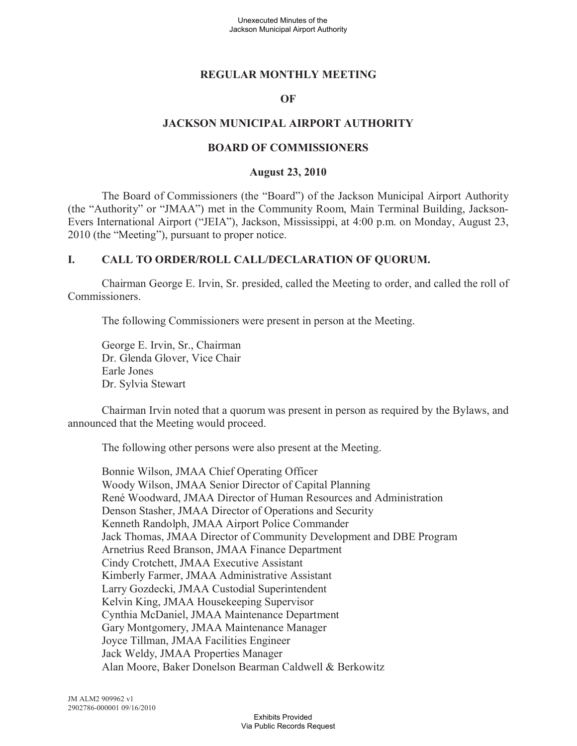## **REGULAR MONTHLY MEETING**

#### **OF**

#### **JACKSON MUNICIPAL AIRPORT AUTHORITY**

#### **BOARD OF COMMISSIONERS**

#### **August 23, 2010**

The Board of Commissioners (the "Board") of the Jackson Municipal Airport Authority (the "Authority" or "JMAA") met in the Community Room, Main Terminal Building, Jackson-Evers International Airport ("JEIA"), Jackson, Mississippi, at 4:00 p.m. on Monday, August 23, 2010 (the "Meeting"), pursuant to proper notice.

#### **I. CALL TO ORDER/ROLL CALL/DECLARATION OF QUORUM.**

Chairman George E. Irvin, Sr. presided, called the Meeting to order, and called the roll of Commissioners.

The following Commissioners were present in person at the Meeting.

George E. Irvin, Sr., Chairman Dr. Glenda Glover, Vice Chair Earle Jones Dr. Sylvia Stewart

Chairman Irvin noted that a quorum was present in person as required by the Bylaws, and announced that the Meeting would proceed.

The following other persons were also present at the Meeting.

Bonnie Wilson, JMAA Chief Operating Officer Woody Wilson, JMAA Senior Director of Capital Planning René Woodward, JMAA Director of Human Resources and Administration Denson Stasher, JMAA Director of Operations and Security Kenneth Randolph, JMAA Airport Police Commander Jack Thomas, JMAA Director of Community Development and DBE Program Arnetrius Reed Branson, JMAA Finance Department Cindy Crotchett, JMAA Executive Assistant Kimberly Farmer, JMAA Administrative Assistant Larry Gozdecki, JMAA Custodial Superintendent Kelvin King, JMAA Housekeeping Supervisor Cynthia McDaniel, JMAA Maintenance Department Gary Montgomery, JMAA Maintenance Manager Joyce Tillman, JMAA Facilities Engineer Jack Weldy, JMAA Properties Manager Alan Moore, Baker Donelson Bearman Caldwell & Berkowitz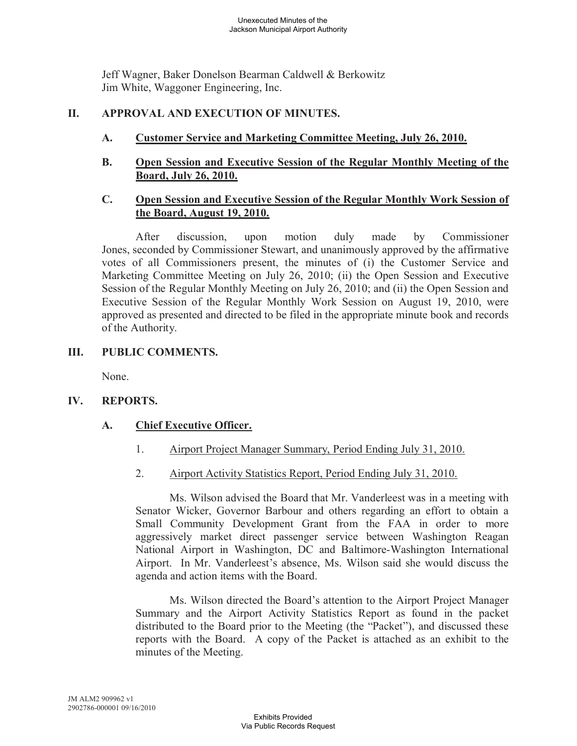Jeff Wagner, Baker Donelson Bearman Caldwell & Berkowitz Jim White, Waggoner Engineering, Inc.

#### **II. APPROVAL AND EXECUTION OF MINUTES.**

**A. Customer Service and Marketing Committee Meeting, July 26, 2010.** 

## **B. Open Session and Executive Session of the Regular Monthly Meeting of the Board, July 26, 2010.**

#### **C. Open Session and Executive Session of the Regular Monthly Work Session of the Board, August 19, 2010.**

After discussion, upon motion duly made by Commissioner Jones, seconded by Commissioner Stewart, and unanimously approved by the affirmative votes of all Commissioners present, the minutes of (i) the Customer Service and Marketing Committee Meeting on July 26, 2010; (ii) the Open Session and Executive Session of the Regular Monthly Meeting on July 26, 2010; and (ii) the Open Session and Executive Session of the Regular Monthly Work Session on August 19, 2010, were approved as presented and directed to be filed in the appropriate minute book and records of the Authority.

## **III. PUBLIC COMMENTS.**

None.

## **IV. REPORTS.**

# **A. Chief Executive Officer.**

- 1. Airport Project Manager Summary, Period Ending July 31, 2010.
- 2. Airport Activity Statistics Report, Period Ending July 31, 2010.

Ms. Wilson advised the Board that Mr. Vanderleest was in a meeting with Senator Wicker, Governor Barbour and others regarding an effort to obtain a Small Community Development Grant from the FAA in order to more aggressively market direct passenger service between Washington Reagan National Airport in Washington, DC and Baltimore-Washington International Airport. In Mr. Vanderleest's absence, Ms. Wilson said she would discuss the agenda and action items with the Board.

Ms. Wilson directed the Board's attention to the Airport Project Manager Summary and the Airport Activity Statistics Report as found in the packet distributed to the Board prior to the Meeting (the "Packet"), and discussed these reports with the Board. A copy of the Packet is attached as an exhibit to the minutes of the Meeting.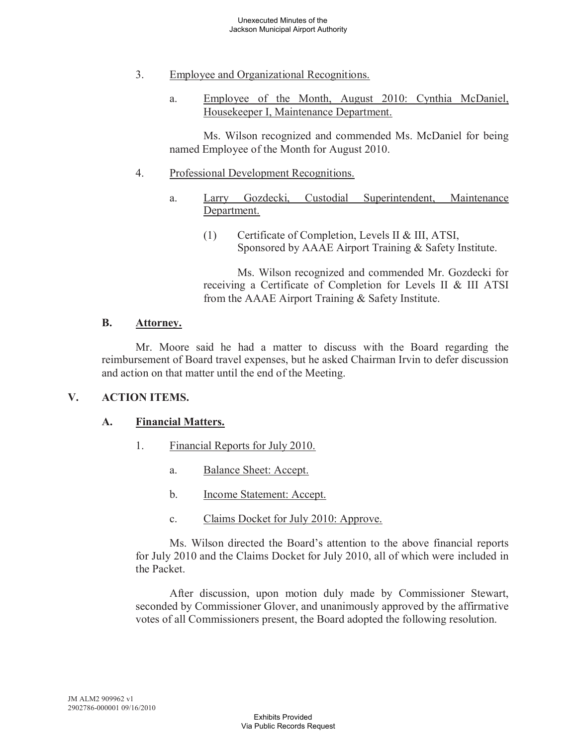- 3. Employee and Organizational Recognitions.
	- a. Employee of the Month, August 2010: Cynthia McDaniel, Housekeeper I, Maintenance Department.

Ms. Wilson recognized and commended Ms. McDaniel for being named Employee of the Month for August 2010.

#### 4. Professional Development Recognitions.

- a. Larry Gozdecki, Custodial Superintendent, Maintenance Department.
	- (1) Certificate of Completion, Levels II & III, ATSI, Sponsored by AAAE Airport Training & Safety Institute.

Ms. Wilson recognized and commended Mr. Gozdecki for receiving a Certificate of Completion for Levels II & III ATSI from the AAAE Airport Training & Safety Institute.

#### **B. Attorney.**

Mr. Moore said he had a matter to discuss with the Board regarding the reimbursement of Board travel expenses, but he asked Chairman Irvin to defer discussion and action on that matter until the end of the Meeting.

## **V. ACTION ITEMS.**

## **A. Financial Matters.**

- 1. Financial Reports for July 2010.
	- a. Balance Sheet: Accept.
	- b. Income Statement: Accept.
	- c. Claims Docket for July 2010: Approve.

Ms. Wilson directed the Board's attention to the above financial reports for July 2010 and the Claims Docket for July 2010, all of which were included in the Packet.

After discussion, upon motion duly made by Commissioner Stewart, seconded by Commissioner Glover, and unanimously approved by the affirmative votes of all Commissioners present, the Board adopted the following resolution.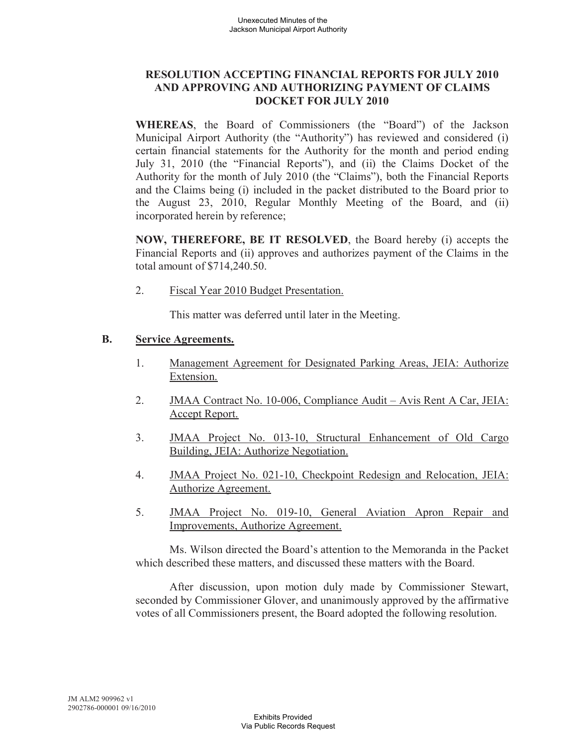## **RESOLUTION ACCEPTING FINANCIAL REPORTS FOR JULY 2010 AND APPROVING AND AUTHORIZING PAYMENT OF CLAIMS DOCKET FOR JULY 2010**

**WHEREAS**, the Board of Commissioners (the "Board") of the Jackson Municipal Airport Authority (the "Authority") has reviewed and considered (i) certain financial statements for the Authority for the month and period ending July 31, 2010 (the "Financial Reports"), and (ii) the Claims Docket of the Authority for the month of July 2010 (the "Claims"), both the Financial Reports and the Claims being (i) included in the packet distributed to the Board prior to the August 23, 2010, Regular Monthly Meeting of the Board, and (ii) incorporated herein by reference;

**NOW, THEREFORE, BE IT RESOLVED**, the Board hereby (i) accepts the Financial Reports and (ii) approves and authorizes payment of the Claims in the total amount of \$714,240.50.

2. Fiscal Year 2010 Budget Presentation.

This matter was deferred until later in the Meeting.

## **B. Service Agreements.**

- 1. Management Agreement for Designated Parking Areas, JEIA: Authorize Extension.
- 2. JMAA Contract No. 10-006, Compliance Audit Avis Rent A Car, JEIA: Accept Report.
- 3. JMAA Project No. 013-10, Structural Enhancement of Old Cargo Building, JEIA: Authorize Negotiation.
- 4. JMAA Project No. 021-10, Checkpoint Redesign and Relocation, JEIA: Authorize Agreement.
- 5. JMAA Project No. 019-10, General Aviation Apron Repair and Improvements, Authorize Agreement.

Ms. Wilson directed the Board's attention to the Memoranda in the Packet which described these matters, and discussed these matters with the Board.

After discussion, upon motion duly made by Commissioner Stewart, seconded by Commissioner Glover, and unanimously approved by the affirmative votes of all Commissioners present, the Board adopted the following resolution.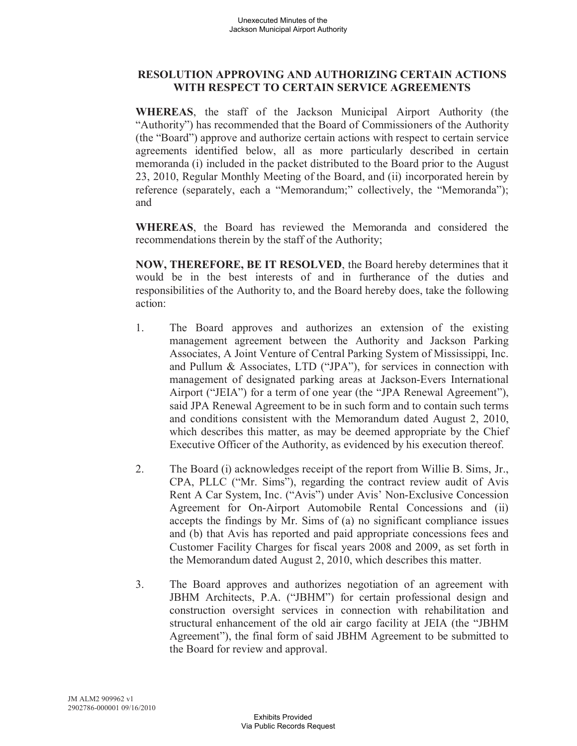## **RESOLUTION APPROVING AND AUTHORIZING CERTAIN ACTIONS WITH RESPECT TO CERTAIN SERVICE AGREEMENTS**

**WHEREAS**, the staff of the Jackson Municipal Airport Authority (the "Authority") has recommended that the Board of Commissioners of the Authority (the "Board") approve and authorize certain actions with respect to certain service agreements identified below, all as more particularly described in certain memoranda (i) included in the packet distributed to the Board prior to the August 23, 2010, Regular Monthly Meeting of the Board, and (ii) incorporated herein by reference (separately, each a "Memorandum;" collectively, the "Memoranda"); and

**WHEREAS**, the Board has reviewed the Memoranda and considered the recommendations therein by the staff of the Authority;

**NOW, THEREFORE, BE IT RESOLVED**, the Board hereby determines that it would be in the best interests of and in furtherance of the duties and responsibilities of the Authority to, and the Board hereby does, take the following action:

- 1. The Board approves and authorizes an extension of the existing management agreement between the Authority and Jackson Parking Associates, A Joint Venture of Central Parking System of Mississippi, Inc. and Pullum & Associates, LTD ("JPA"), for services in connection with management of designated parking areas at Jackson-Evers International Airport ("JEIA") for a term of one year (the "JPA Renewal Agreement"), said JPA Renewal Agreement to be in such form and to contain such terms and conditions consistent with the Memorandum dated August 2, 2010, which describes this matter, as may be deemed appropriate by the Chief Executive Officer of the Authority, as evidenced by his execution thereof.
- 2. The Board (i) acknowledges receipt of the report from Willie B. Sims, Jr., CPA, PLLC ("Mr. Sims"), regarding the contract review audit of Avis Rent A Car System, Inc. ("Avis") under Avis' Non-Exclusive Concession Agreement for On-Airport Automobile Rental Concessions and (ii) accepts the findings by Mr. Sims of (a) no significant compliance issues and (b) that Avis has reported and paid appropriate concessions fees and Customer Facility Charges for fiscal years 2008 and 2009, as set forth in the Memorandum dated August 2, 2010, which describes this matter.
- 3. The Board approves and authorizes negotiation of an agreement with JBHM Architects, P.A. ("JBHM") for certain professional design and construction oversight services in connection with rehabilitation and structural enhancement of the old air cargo facility at JEIA (the "JBHM Agreement"), the final form of said JBHM Agreement to be submitted to the Board for review and approval.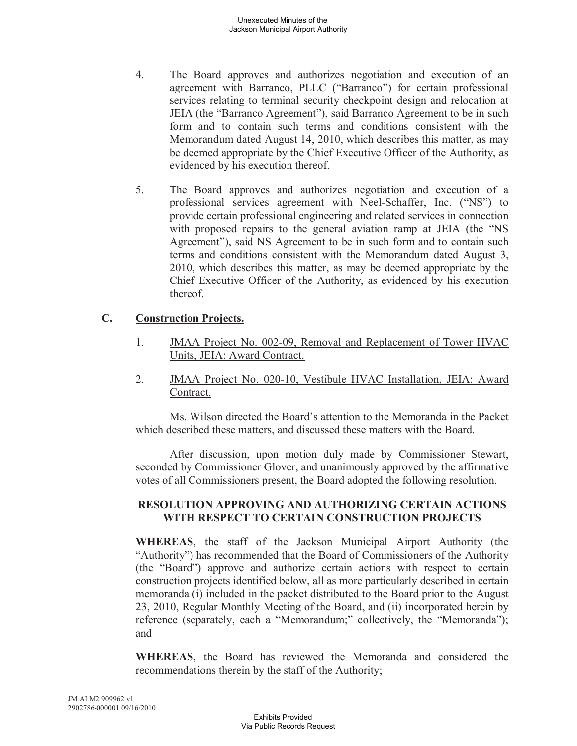- 4. The Board approves and authorizes negotiation and execution of an agreement with Barranco, PLLC ("Barranco") for certain professional services relating to terminal security checkpoint design and relocation at JEIA (the "Barranco Agreement"), said Barranco Agreement to be in such form and to contain such terms and conditions consistent with the Memorandum dated August 14, 2010, which describes this matter, as may be deemed appropriate by the Chief Executive Officer of the Authority, as evidenced by his execution thereof.
- 5. The Board approves and authorizes negotiation and execution of a professional services agreement with Neel-Schaffer, Inc. ("NS") to provide certain professional engineering and related services in connection with proposed repairs to the general aviation ramp at JEIA (the "NS Agreement"), said NS Agreement to be in such form and to contain such terms and conditions consistent with the Memorandum dated August 3, 2010, which describes this matter, as may be deemed appropriate by the Chief Executive Officer of the Authority, as evidenced by his execution thereof.

## **C. Construction Projects.**

- 1. JMAA Project No. 002-09, Removal and Replacement of Tower HVAC Units, JEIA: Award Contract.
- 2. JMAA Project No. 020-10, Vestibule HVAC Installation, JEIA: Award Contract.

Ms. Wilson directed the Board's attention to the Memoranda in the Packet which described these matters, and discussed these matters with the Board.

After discussion, upon motion duly made by Commissioner Stewart, seconded by Commissioner Glover, and unanimously approved by the affirmative votes of all Commissioners present, the Board adopted the following resolution.

#### **RESOLUTION APPROVING AND AUTHORIZING CERTAIN ACTIONS WITH RESPECT TO CERTAIN CONSTRUCTION PROJECTS**

**WHEREAS**, the staff of the Jackson Municipal Airport Authority (the "Authority") has recommended that the Board of Commissioners of the Authority (the "Board") approve and authorize certain actions with respect to certain construction projects identified below, all as more particularly described in certain memoranda (i) included in the packet distributed to the Board prior to the August 23, 2010, Regular Monthly Meeting of the Board, and (ii) incorporated herein by reference (separately, each a "Memorandum;" collectively, the "Memoranda"); and

**WHEREAS**, the Board has reviewed the Memoranda and considered the recommendations therein by the staff of the Authority;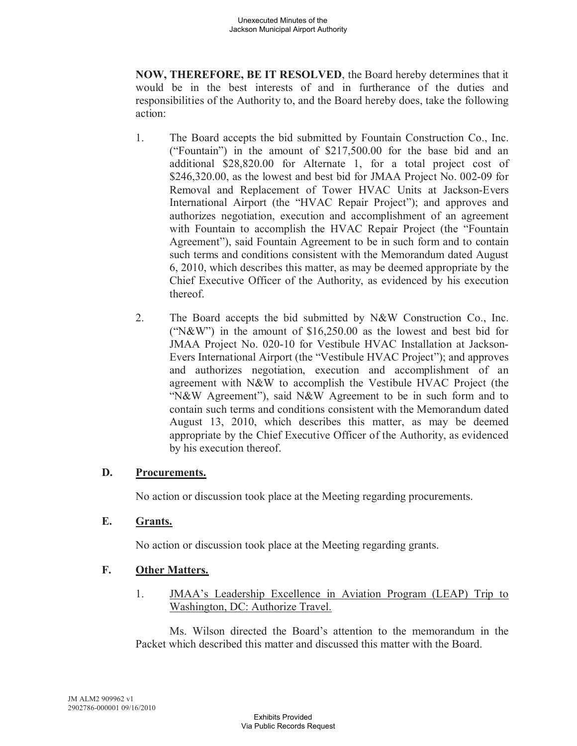**NOW, THEREFORE, BE IT RESOLVED**, the Board hereby determines that it would be in the best interests of and in furtherance of the duties and responsibilities of the Authority to, and the Board hereby does, take the following action:

- 1. The Board accepts the bid submitted by Fountain Construction Co., Inc. ("Fountain") in the amount of \$217,500.00 for the base bid and an additional \$28,820.00 for Alternate 1, for a total project cost of \$246,320.00, as the lowest and best bid for JMAA Project No. 002-09 for Removal and Replacement of Tower HVAC Units at Jackson-Evers International Airport (the "HVAC Repair Project"); and approves and authorizes negotiation, execution and accomplishment of an agreement with Fountain to accomplish the HVAC Repair Project (the "Fountain Agreement"), said Fountain Agreement to be in such form and to contain such terms and conditions consistent with the Memorandum dated August 6, 2010, which describes this matter, as may be deemed appropriate by the Chief Executive Officer of the Authority, as evidenced by his execution thereof.
- 2. The Board accepts the bid submitted by N&W Construction Co., Inc. ("N&W") in the amount of \$16,250.00 as the lowest and best bid for JMAA Project No. 020-10 for Vestibule HVAC Installation at Jackson-Evers International Airport (the "Vestibule HVAC Project"); and approves and authorizes negotiation, execution and accomplishment of an agreement with N&W to accomplish the Vestibule HVAC Project (the "N&W Agreement"), said N&W Agreement to be in such form and to contain such terms and conditions consistent with the Memorandum dated August 13, 2010, which describes this matter, as may be deemed appropriate by the Chief Executive Officer of the Authority, as evidenced by his execution thereof.

## **D. Procurements.**

No action or discussion took place at the Meeting regarding procurements.

# **E. Grants.**

No action or discussion took place at the Meeting regarding grants.

# **F. Other Matters.**

1. JMAA's Leadership Excellence in Aviation Program (LEAP) Trip to Washington, DC: Authorize Travel.

Ms. Wilson directed the Board's attention to the memorandum in the Packet which described this matter and discussed this matter with the Board.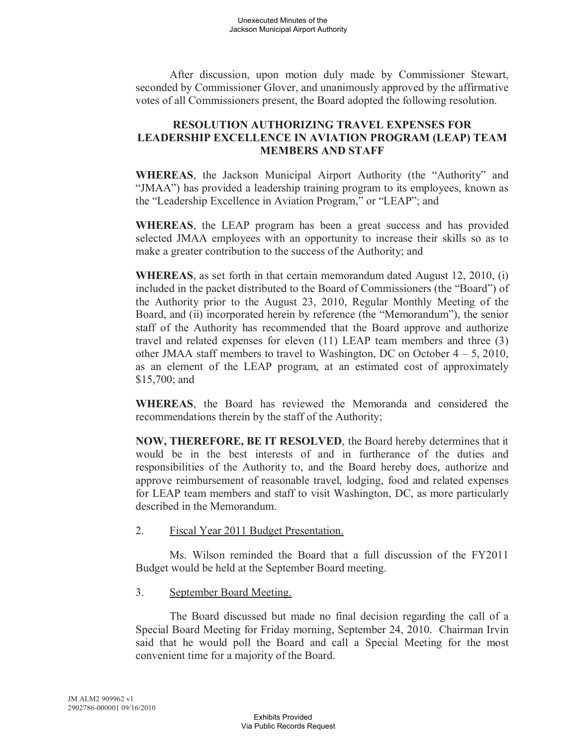After discussion, upon motion duly made by Commissioner Stewart, seconded by Commissioner Glover, and unanimously approved by the affirmative votes of all Commissioners present, the Board adopted the following resolution.

#### **RESOLUTION AUTHORIZING TRAVEL EXPENSES FOR LEADERSHIP EXCELLENCE IN AVIATION PROGRAM (LEAP) TEAM MEMBERS AND STAFF**

**WHEREAS**, the Jackson Municipal Airport Authority (the "Authority" and "JMAA") has provided a leadership training program to its employees, known as the "Leadership Excellence in Aviation Program," or "LEAP"; and

**WHEREAS**, the LEAP program has been a great success and has provided selected JMAA employees with an opportunity to increase their skills so as to make a greater contribution to the success of the Authority; and

**WHEREAS**, as set forth in that certain memorandum dated August 12, 2010, (i) included in the packet distributed to the Board of Commissioners (the "Board") of the Authority prior to the August 23, 2010, Regular Monthly Meeting of the Board, and (ii) incorporated herein by reference (the "Memorandum"), the senior staff of the Authority has recommended that the Board approve and authorize travel and related expenses for eleven (11) LEAP team members and three (3) other JMAA staff members to travel to Washington, DC on October  $4 - 5$ , 2010, as an element of the LEAP program, at an estimated cost of approximately \$15,700; and

**WHEREAS**, the Board has reviewed the Memoranda and considered the recommendations therein by the staff of the Authority;

**NOW, THEREFORE, BE IT RESOLVED**, the Board hereby determines that it would be in the best interests of and in furtherance of the duties and responsibilities of the Authority to, and the Board hereby does, authorize and approve reimbursement of reasonable travel, lodging, food and related expenses for LEAP team members and staff to visit Washington, DC, as more particularly described in the Memorandum.

2. Fiscal Year 2011 Budget Presentation.

Ms. Wilson reminded the Board that a full discussion of the FY2011 Budget would be held at the September Board meeting.

3. September Board Meeting.

The Board discussed but made no final decision regarding the call of a Special Board Meeting for Friday morning, September 24, 2010. Chairman Irvin said that he would poll the Board and call a Special Meeting for the most convenient time for a majority of the Board.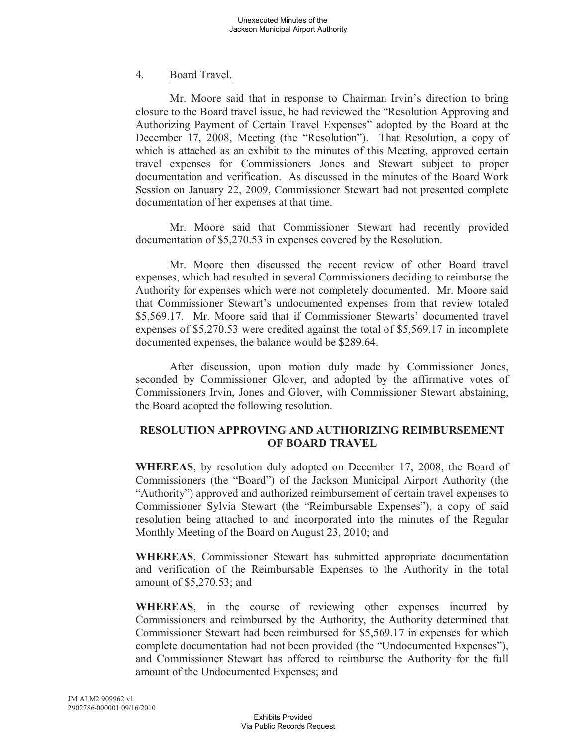## 4. Board Travel.

Mr. Moore said that in response to Chairman Irvin's direction to bring closure to the Board travel issue, he had reviewed the "Resolution Approving and Authorizing Payment of Certain Travel Expenses" adopted by the Board at the December 17, 2008, Meeting (the "Resolution"). That Resolution, a copy of which is attached as an exhibit to the minutes of this Meeting, approved certain travel expenses for Commissioners Jones and Stewart subject to proper documentation and verification. As discussed in the minutes of the Board Work Session on January 22, 2009, Commissioner Stewart had not presented complete documentation of her expenses at that time.

Mr. Moore said that Commissioner Stewart had recently provided documentation of \$5,270.53 in expenses covered by the Resolution.

Mr. Moore then discussed the recent review of other Board travel expenses, which had resulted in several Commissioners deciding to reimburse the Authority for expenses which were not completely documented. Mr. Moore said that Commissioner Stewart's undocumented expenses from that review totaled \$5,569.17. Mr. Moore said that if Commissioner Stewarts' documented travel expenses of \$5,270.53 were credited against the total of \$5,569.17 in incomplete documented expenses, the balance would be \$289.64.

After discussion, upon motion duly made by Commissioner Jones, seconded by Commissioner Glover, and adopted by the affirmative votes of Commissioners Irvin, Jones and Glover, with Commissioner Stewart abstaining, the Board adopted the following resolution.

## **RESOLUTION APPROVING AND AUTHORIZING REIMBURSEMENT OF BOARD TRAVEL**

**WHEREAS**, by resolution duly adopted on December 17, 2008, the Board of Commissioners (the "Board") of the Jackson Municipal Airport Authority (the "Authority") approved and authorized reimbursement of certain travel expenses to Commissioner Sylvia Stewart (the "Reimbursable Expenses"), a copy of said resolution being attached to and incorporated into the minutes of the Regular Monthly Meeting of the Board on August 23, 2010; and

**WHEREAS**, Commissioner Stewart has submitted appropriate documentation and verification of the Reimbursable Expenses to the Authority in the total amount of \$5,270.53; and

**WHEREAS**, in the course of reviewing other expenses incurred by Commissioners and reimbursed by the Authority, the Authority determined that Commissioner Stewart had been reimbursed for \$5,569.17 in expenses for which complete documentation had not been provided (the "Undocumented Expenses"), and Commissioner Stewart has offered to reimburse the Authority for the full amount of the Undocumented Expenses; and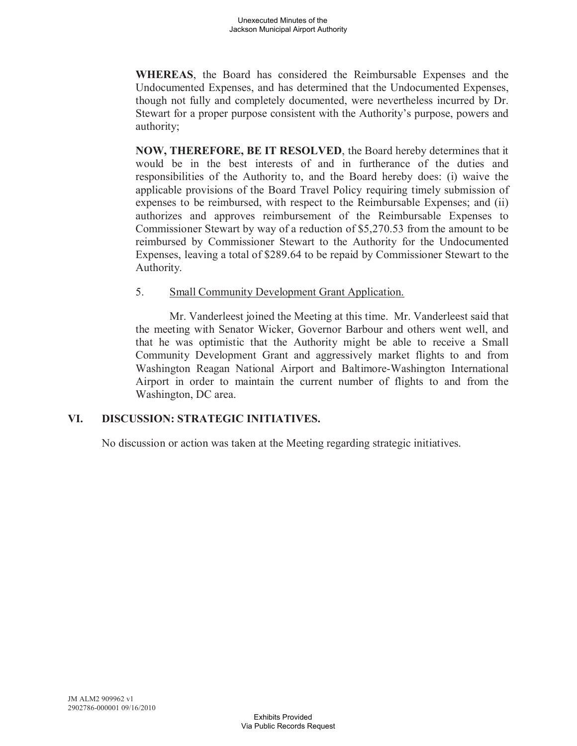**WHEREAS**, the Board has considered the Reimbursable Expenses and the Undocumented Expenses, and has determined that the Undocumented Expenses, though not fully and completely documented, were nevertheless incurred by Dr. Stewart for a proper purpose consistent with the Authority's purpose, powers and authority;

**NOW, THEREFORE, BE IT RESOLVED**, the Board hereby determines that it would be in the best interests of and in furtherance of the duties and responsibilities of the Authority to, and the Board hereby does: (i) waive the applicable provisions of the Board Travel Policy requiring timely submission of expenses to be reimbursed, with respect to the Reimbursable Expenses; and (ii) authorizes and approves reimbursement of the Reimbursable Expenses to Commissioner Stewart by way of a reduction of \$5,270.53 from the amount to be reimbursed by Commissioner Stewart to the Authority for the Undocumented Expenses, leaving a total of \$289.64 to be repaid by Commissioner Stewart to the Authority.

#### 5. Small Community Development Grant Application.

Mr. Vanderleest joined the Meeting at this time. Mr. Vanderleest said that the meeting with Senator Wicker, Governor Barbour and others went well, and that he was optimistic that the Authority might be able to receive a Small Community Development Grant and aggressively market flights to and from Washington Reagan National Airport and Baltimore-Washington International Airport in order to maintain the current number of flights to and from the Washington, DC area.

## **VI. DISCUSSION: STRATEGIC INITIATIVES.**

No discussion or action was taken at the Meeting regarding strategic initiatives.